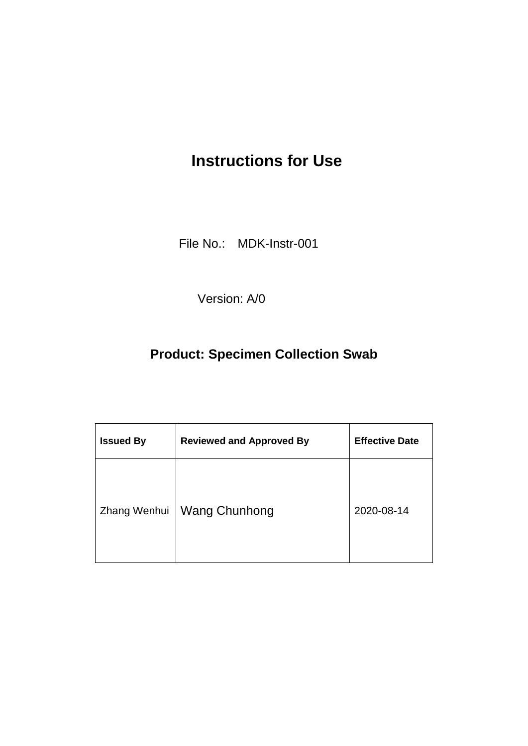## **Instructions for Use**

File No.: MDK-Instr-001

Version: A/0

### **Product: Specimen Collection Swab**

| <b>Issued By</b> | <b>Reviewed and Approved By</b> | <b>Effective Date</b> |
|------------------|---------------------------------|-----------------------|
| Zhang Wenhui     | <b>Wang Chunhong</b>            | 2020-08-14            |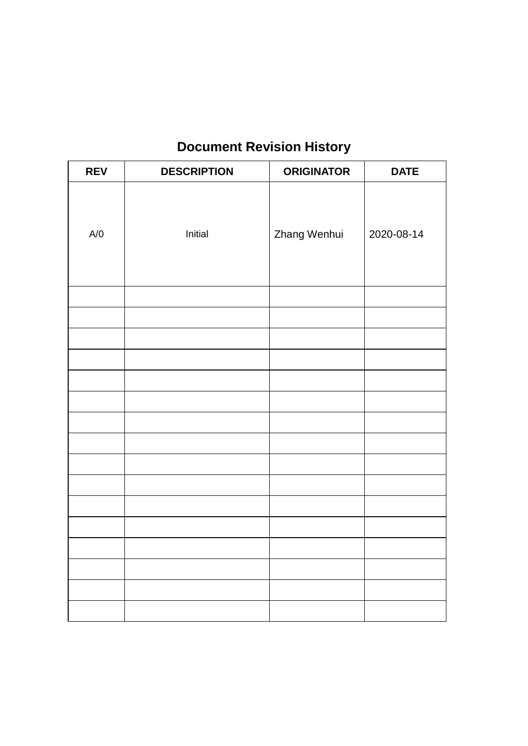## **Document Revision History**

| <b>REV</b> | <b>DESCRIPTION</b> | <b>ORIGINATOR</b> | <b>DATE</b> |
|------------|--------------------|-------------------|-------------|
|            |                    |                   |             |
|            |                    |                   |             |
| A/O        | Initial            | Zhang Wenhui      | 2020-08-14  |
|            |                    |                   |             |
|            |                    |                   |             |
|            |                    |                   |             |
|            |                    |                   |             |
|            |                    |                   |             |
|            |                    |                   |             |
|            |                    |                   |             |
|            |                    |                   |             |
|            |                    |                   |             |
|            |                    |                   |             |
|            |                    |                   |             |
|            |                    |                   |             |
|            |                    |                   |             |
|            |                    |                   |             |
|            |                    |                   |             |
|            |                    |                   |             |
|            |                    |                   |             |
|            |                    |                   |             |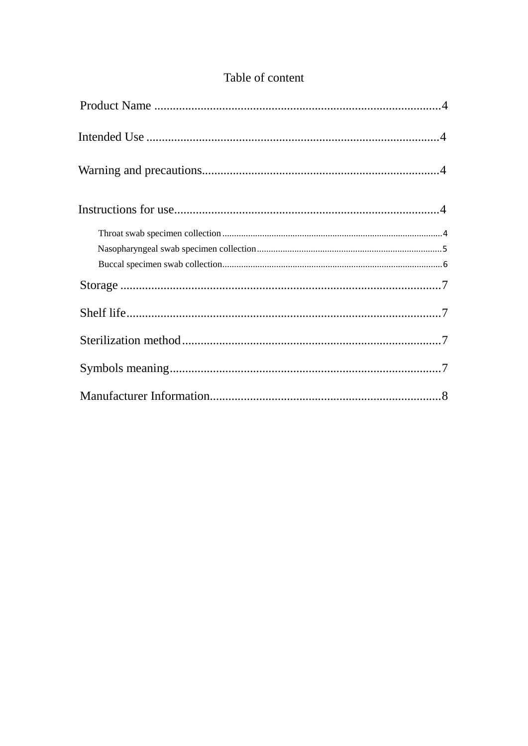|  | Table of content |
|--|------------------|
|  |                  |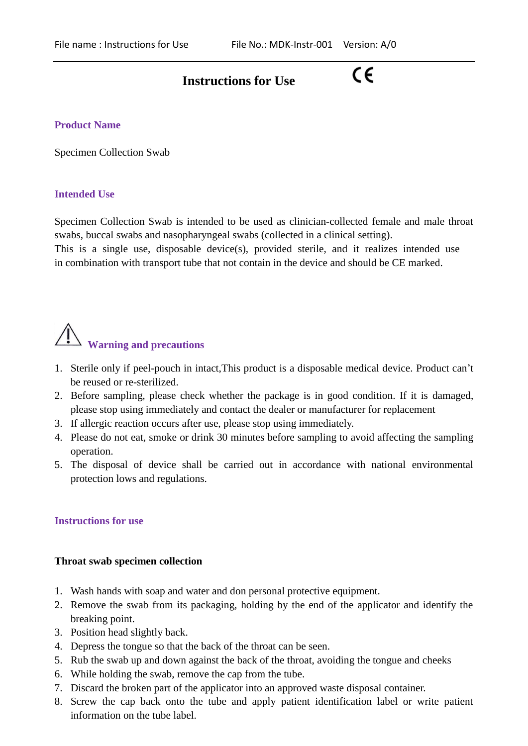### **Instructions for Use**

## $\epsilon$

#### <span id="page-3-0"></span>**Product Name**

<span id="page-3-1"></span>Specimen Collection Swab

#### <span id="page-3-2"></span>**Intended Use**

Specimen Collection Swab is intended to be used as clinician-collected female and male throat swabs, buccal swabs and nasopharyngeal swabs (collected in a clinical setting).

This is a single use, disposable device(s), provided sterile, and it realizes intended use in combination with transport tube that not contain in the device and should be CE marked.

# <span id="page-3-3"></span>**Warning and precautions**

- 1. Sterile only if peel-pouch in intact,This product is a disposable medical device. Product can't be reused or re-sterilized.
- 2. Before sampling, please check whether the package is in good condition. If it is damaged, please stop using immediately and contact the dealer or manufacturer for replacement
- 3. If allergic reaction occurs after use, please stop using immediately.
- 4. Please do not eat, smoke or drink 30 minutes before sampling to avoid affecting the sampling operation.
- 5. The disposal of device shall be carried out in accordance with national environmental protection lows and regulations.

#### <span id="page-3-4"></span>**Instructions for use**

#### <span id="page-3-5"></span>**Throat swab specimen collection**

- 1. Wash hands with soap and water and don personal protective equipment.
- 2. Remove the swab from its packaging, holding by the end of the applicator and identify the breaking point.
- 3. Position head slightly back.
- 4. Depress the tongue so that the back of the throat can be seen.
- 5. Rub the swab up and down against the back of the throat, avoiding the tongue and cheeks
- 6. While holding the swab, remove the cap from the tube.
- 7. Discard the broken part of the applicator into an approved waste disposal container.
- 8. Screw the cap back onto the tube and apply patient identification label or write patient information on the tube label.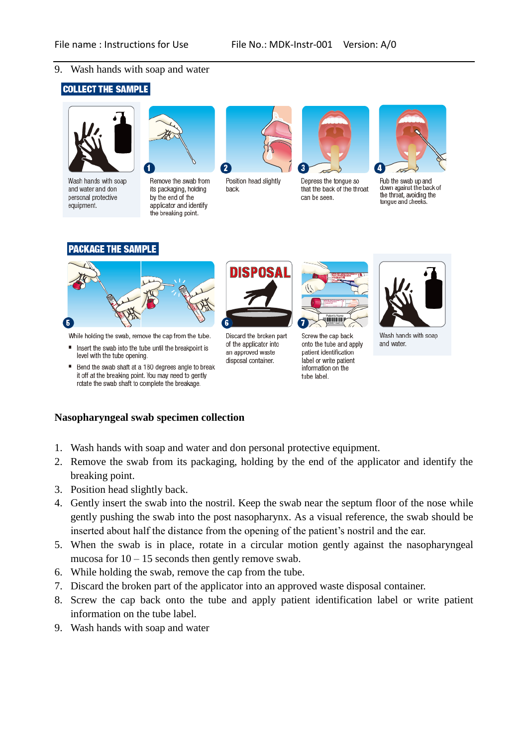#### 9. Wash hands with soap and water

#### **COLLECT THE SAMPLE**



Wash hands with soap and water and don personal protective equipment.

٠



Remove the swab from its packaging, holding by the end of the applicator and identify the breaking point.



Position head slightly back.

DISPOSAL

an approved waste

disposal container.

2



Depress the tongue so that the back of the throat can be seen.



Rub the swab up and down against the back of the throat, avoiding the tonque and cheeks.

#### **PACKAGE THE SAMPLE**



While holding the swab, remove the cap from the tube.

- Insert the swab into the tube until the breakpoint is level with the tube opening.
- Bend the swab shaft at a 180 degrees angle to break it off at the breaking point. You may need to gently rotate the swab shaft to complete the breakage.

#### <span id="page-4-0"></span>**Nasopharyngeal swab specimen collection**

- 1. Wash hands with soap and water and don personal protective equipment.
- 2. Remove the swab from its packaging, holding by the end of the applicator and identify the breaking point.
- 3. Position head slightly back.
- 4. Gently insert the swab into the nostril. Keep the swab near the septum floor of the nose while gently pushing the swab into the post nasopharynx. As a visual reference, the swab should be inserted about half the distance from the opening of the patient's nostril and the ear.
- 5. When the swab is in place, rotate in a circular motion gently against the nasopharyngeal mucosa for  $10 - 15$  seconds then gently remove swab.
- 6. While holding the swab, remove the cap from the tube.
- 7. Discard the broken part of the applicator into an approved waste disposal container.
- 8. Screw the cap back onto the tube and apply patient identification label or write patient information on the tube label.
- 9. Wash hands with soap and water

**TITTERIN** Discard the broken part Screw the cap back of the applicator into onto the tube and apply patient identification label or write patient

information on the

tube label.



Wash hands with soap and water.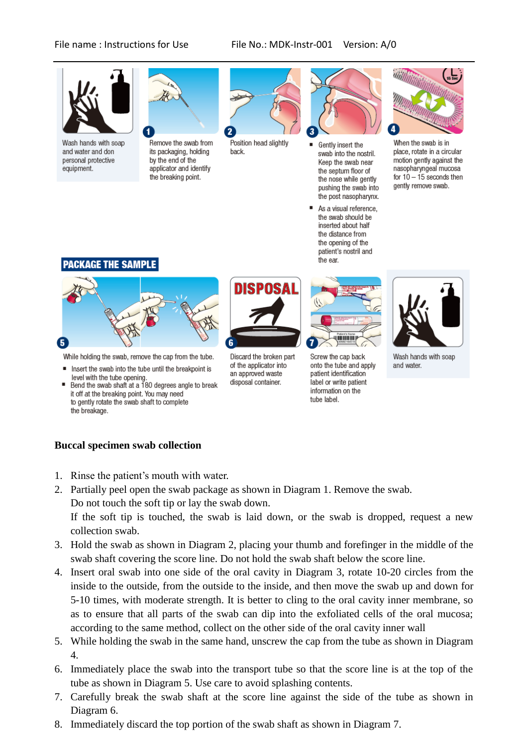#### File name : Instructions for Use File No.: MDK-Instr-001 Version: A/0



Wash hands with soap and water and don personal protective equipment.



Remove the swab from its packaging, holding by the end of the applicator and identify the breaking point.



Position head slightly back.



- Gently insert the swab into the nostril. Keep the swab near the septum floor of the nose while gently pushing the swab into the post nasopharynx.
- As a visual reference, the swab should be inserted about half the distance from the opening of the patient's nostril and the ear.



When the swab is in place, rotate in a circular motion gently against the nasopharyngeal mucosa for  $10 - 15$  seconds then gently remove swab.

#### **PACKAGE THE SAMPLE**



While holding the swab, remove the cap from the tube.

- Insert the swab into the tube until the breakpoint is level with the tube opening
- Bend the swab shaft at a 180 degrees angle to break it off at the breaking point. You may need to gently rotate the swab shaft to complete the breakage.



Discard the broken part of the applicator into an approved waste disposal container.



tube label.





Wash hands with soap and water.

#### <span id="page-5-0"></span>**Buccal specimen swab collection**

- 1. Rinse the patient's mouth with water.
- 2. Partially peel open the swab package as shown in Diagram 1. Remove the swab. Do not touch the soft tip or lay the swab down. If the soft tip is touched, the swab is laid down, or the swab is dropped, request a new collection swab.
- 3. Hold the swab as shown in Diagram 2, placing your thumb and forefinger in the middle of the swab shaft covering the score line. Do not hold the swab shaft below the score line.
- 4. Insert oral swab into one side of the oral cavity in Diagram 3, rotate 10-20 circles from the inside to the outside, from the outside to the inside, and then move the swab up and down for 5-10 times, with moderate strength. It is better to cling to the oral cavity inner membrane, so as to ensure that all parts of the swab can dip into the exfoliated cells of the oral mucosa; according to the same method, collect on the other side of the oral cavity inner wall
- 5. While holding the swab in the same hand, unscrew the cap from the tube as shown in Diagram 4.
- 6. Immediately place the swab into the transport tube so that the score line is at the top of the tube as shown in Diagram 5. Use care to avoid splashing contents.
- 7. Carefully break the swab shaft at the score line against the side of the tube as shown in Diagram 6.
- 8. Immediately discard the top portion of the swab shaft as shown in Diagram 7.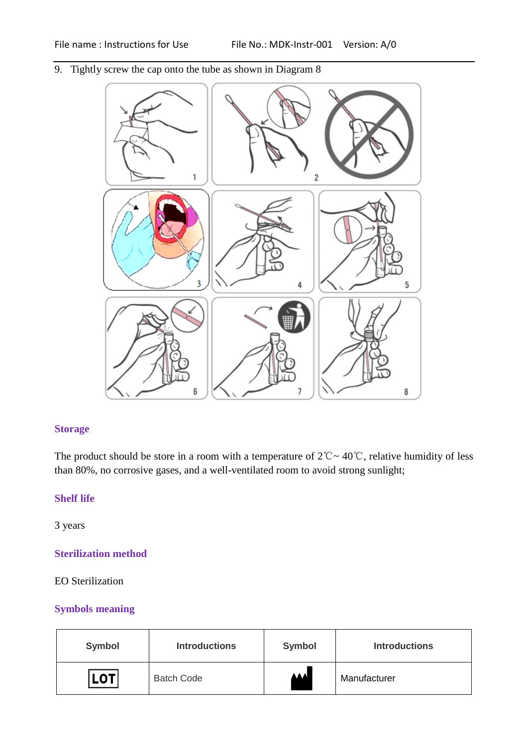9. Tightly screw the cap onto the tube as shown in Diagram 8



#### <span id="page-6-0"></span>**Storage**

The product should be store in a room with a temperature of  $2^{\circ}\text{C} \sim 40^{\circ}\text{C}$ , relative humidity of less than 80%, no corrosive gases, and a well-ventilated room to avoid strong sunlight;

#### <span id="page-6-1"></span>**Shelf life**

<span id="page-6-2"></span>3 years

#### **Sterilization method**

#### <span id="page-6-3"></span>EO Sterilization

#### **Symbols meaning**

| <b>Symbol</b> | <b>Introductions</b> | <b>Symbol</b> | <b>Introductions</b> |
|---------------|----------------------|---------------|----------------------|
| <b>LOT</b>    | <b>Batch Code</b>    | <b>AAAL</b>   | Manufacturer         |